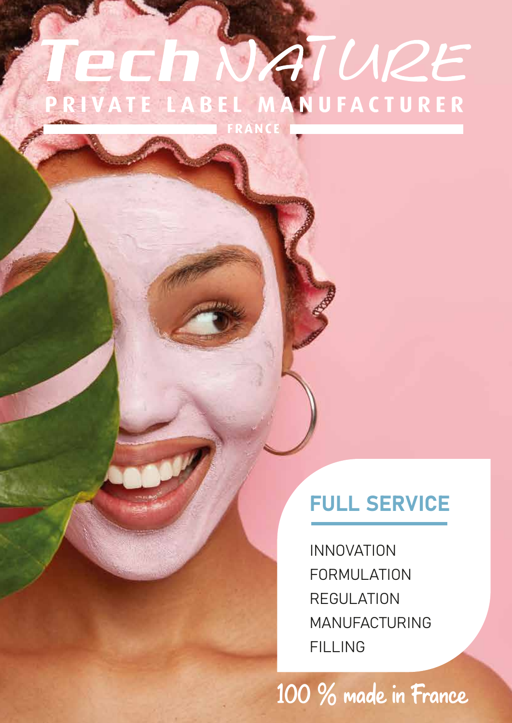## TURE er PRIVATE LABEL MANUFACTURER

FRANCE

### FULL SERVICE

**INNOVATION** FORMULATION **REGULATION** MANUFACTURING FILLING

100 % made in France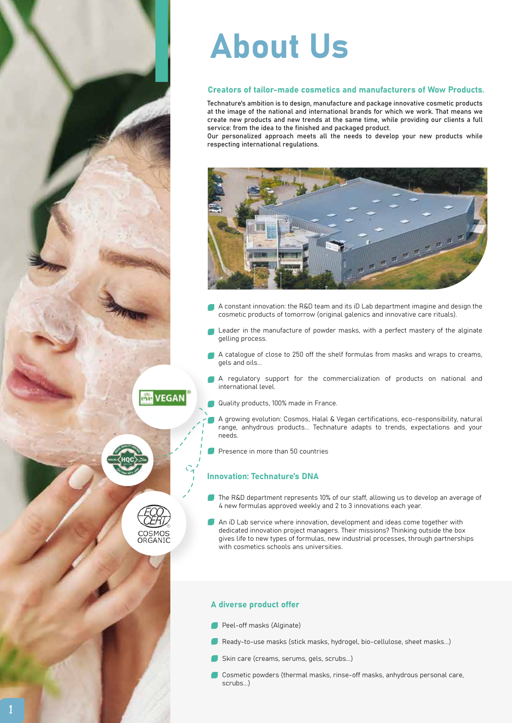## About Us

#### Creators of tailor-made cosmetics and manufacturers of Wow Products.

Technature's ambition is to design, manufacture and package innovative cosmetic products at the image of the national and international brands for which we work. That means we create new products and new trends at the same time, while providing our clients a full service: from the idea to the finished and packaged product.

Our personalized approach meets all the needs to develop your new products while respecting international regulations.



- A constant innovation: the R&D team and its iD Lab department imagine and design the cosmetic products of tomorrow (original galenics and innovative care rituals).
- Leader in the manufacture of powder masks, with a perfect mastery of the alginate gelling process.
- A catalogue of close to 250 off the shelf formulas from masks and wraps to creams, gels and oils...
- A regulatory support for the commercialization of products on national and international level.
- Quality products, 100% made in France.
- A growing evolution: Cosmos, Halal & Vegan certifications, eco-responsibility, natural range, anhydrous products... Technature adapts to trends, expectations and your needs.
- Presence in more than 50 countries

#### Innovation: Technature's DNA

- The R&D department represents 10% of our staff, allowing us to develop an average of 4 new formulas approved weekly and 2 to 3 innovations each year.
- An iD Lab service where innovation, development and ideas come together with dedicated innovation project managers. Their missions? Thinking outside the box gives life to new types of formulas, new industrial processes, through partnerships with cosmetics schools ans universities.

#### A diverse product offer

- Peel-off masks (Alginate)
- Ready-to-use masks (stick masks, hydrogel, bio-cellulose, sheet masks...)
- Skin care (creams, serums, gels, scrubs...)
- Cosmetic powders (thermal masks, rinse-off masks, anhydrous personal care, scrubs.)



ard VEGAN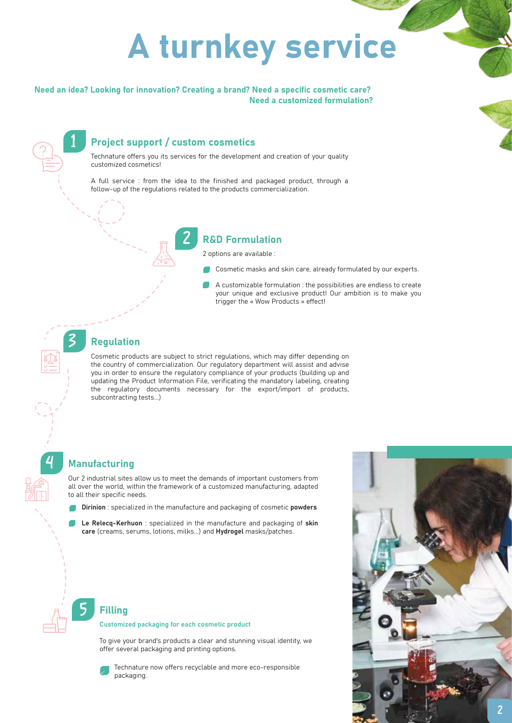# A turnkey service

Need an idea? Looking for innovation? Creating a brand? Need a specific cosmetic care? Need a customized formulation?

#### **Project support / custom cosmetics**

Technature offers you its services for the development and creation of your quality customized cosmetics!

A full service : from the idea to the finished and packaged product, through a follow-up of the regulations related to the products commercialization.

#### **R&D Formulation**

2 options are available :

- Cosmetic masks and skin care, already formulated by our experts.
- A customizable formulation : the possibilities are endless to create your unique and exclusive product! Our ambition is to make you trigger the « Wow Products » effect!

#### **Regulation**

Cosmetic products are subject to strict regulations, which may differ depending on the country of commercialization. Our regulatory department will assist and advise you in order to ensure the regulatory compliance of your products (building up and updating the Product Information File, verificating the mandatory labeling, creating the regulatory documents necessary for the export/import of products, subcontracting tests...)

#### **Manufacturing**

Our 2 industrial sites allow us to meet the demands of important customers from all over the world, within the framework of a customized manufacturing, adapted to all their specific needs.

- Dirinion : specialized in the manufacture and packaging of cosmetic powders
- Le Releca-Kerhuon : specialized in the manufacture and packaging of skin care (creams, serums, lotions, milks...) and Hydrogel masks/patches.

#### **Filling**

Customized packaging for each cosmetic product

To give your brand's products a clear and stunning visual identity, we offer several packaging and printing options.

Technature now offers recyclable and more eco-responsible packaging.

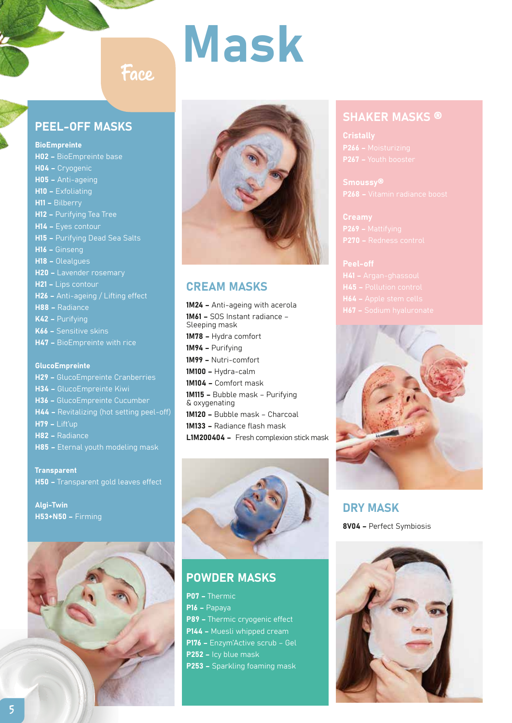# Mask



#### CREAM MASKS

1M24 - Anti-ageing with acerola 1M61 – SOS Instant radiance – Sleeping mask 1M78 – Hydra comfort 1M94 – Purifying 1M99 – Nutri-comfort 1M100 – Hydra-calm 1M104 – Comfort mask 1M115 – Bubble mask – Purifying & oxygenating 1M120 – Bubble mask – Charcoal 1M133 – Radiance flash mask L1M200404 – Fresh complexion stick mask



#### POWDER MASKS

P07 – Thermic P16 – Papaya P89 - Thermic cryogenic effect P144 – Muesli whipped cream P176 – Enzym'Active scrub – Gel P252 – Icy blue mask P253 – Sparkling foaming mask

#### SHAKER MASKS ®

P266 - Moisturizing

Peel-off



DRY MASK 8V04 – Perfect Symbiosis



#### PEEL-OFF MASKS

Face

**BioEmpreinte** H02 – BioEmpreinte base H04 – Cryogenic H05 – Anti-ageing H10 – Exfoliating H11 – Bilberry H12 – Purifying Tea Tree H14 – Eyes contour H15 – Purifying Dead Sea Salts H16 – Ginseng H18 – Olealgues H20 – Lavender rosemary H21 – Lips contour H26 – Anti-ageing / Lifting effect H88 – Radiance K42 – Purifying K66 – Sensitive skins H47 – BioEmpreinte with rice

#### GlucoEmpreinte

H29 – GlucoEmpreinte Cranberries H34 – GlucoEmpreinte Kiwi H36 – GlucoEmpreinte Cucumber H44 – Revitalizing (hot setting peel-off) H79 – Lift'up H82 – Radiance H85 – Eternal youth modeling mask

**Transparent** H50 – Transparent gold leaves effect

Algi-Twin H53+N50 – Firming

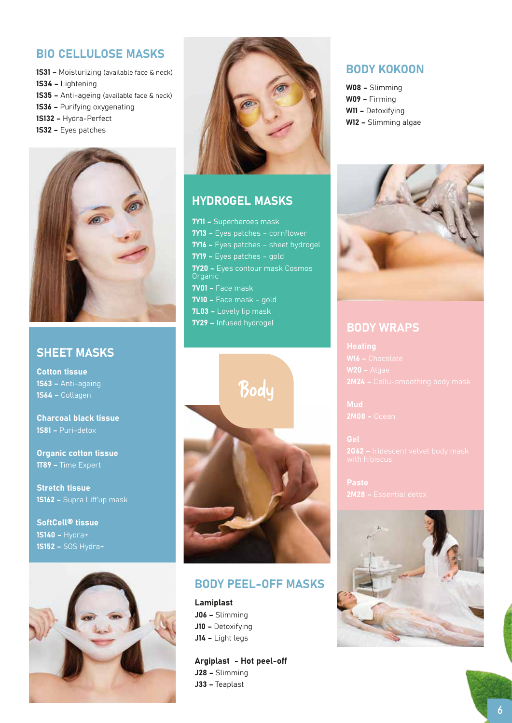#### BIO CELLULOSE MASKS

- 1S31 Moisturizing (available face & neck) 1S34 – Lightening 1S35 – Anti-ageing (available face & neck)
- 1S36 Purifying oxygenating
- 1S132 Hydra-Perfect
- 1S32 Eyes patches



#### SHEET MASKS

Cotton tissue 1S63 – Anti-ageing 1S64 – Collagen

Charcoal black tissue 1S81 – Puri-detox

Organic cotton tissue 1T89 – Time Expert

Stretch tissue 1S162 – Supra Lift'up mask

SoftCell® tissue 1S140 – Hydra+ 1S152 – SOS Hydra+





#### HYDROGEL MASKS

7Y11 – Superheroes mask 7Y13 – Eyes patches – cornflower 7Y16 – Eyes patches – sheet hydrogel 7Y19 – Eyes patches – gold **7Y20 -** Eyes contour mask Cosmos Organic 7V01 – Face mask 7V10 – Face mask – gold 7L03 – Lovely lip mask 7Y29 – Infused hydrogel



#### BODY PEEL-OFF MASKS

Lamiplast J06 – Slimming J10 - Detoxifying J14 – Light legs

Argiplast - Hot peel-off J28 – Slimming J33 – Teaplast

#### BODY KOKOON

W08 – Slimming W09 – Firming W11 - Detoxifving W12 – Slimming algae



#### BODY WRAPS

 $W20 - \text{Algae}$ 

Mud

2G62 - Iridescent velvet body mask

Paste 2M28 – Essential detox